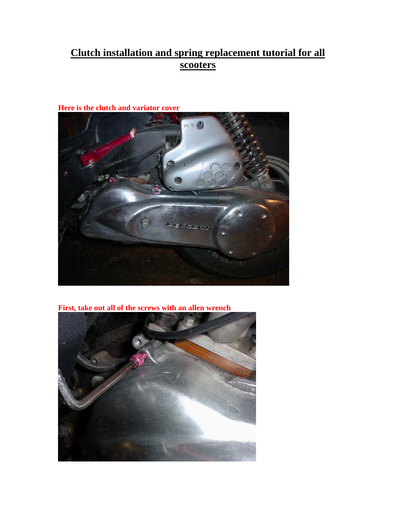## **Clutch installation and spring replacement tutorial for all scooters**



**Here is the clutch and variator cover** 

**First, take out all of the screws with an allen wrench**

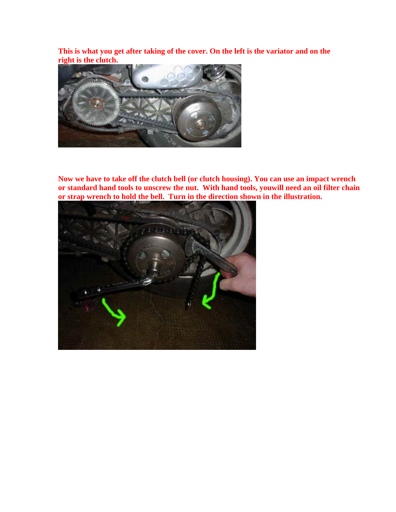**This is what you get after taking of the cover. On the left is the variator and on the right is the clutch.**



**Now we have to take off the clutch bell (or clutch housing). You can use an impact wrench or standard hand tools to unscrew the nut. With hand tools, youwill need an oil filter chain or strap wrench to hold the bell. Turn in the direction shown in the illustration.**

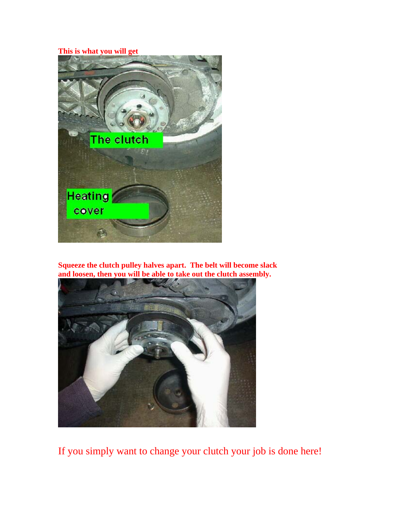## **This is what you will get**



**Squeeze the clutch pulley halves apart. The belt will become slack and loosen, then you will be able to take out the clutch assembly.**



If you simply want to change your clutch your job is done here!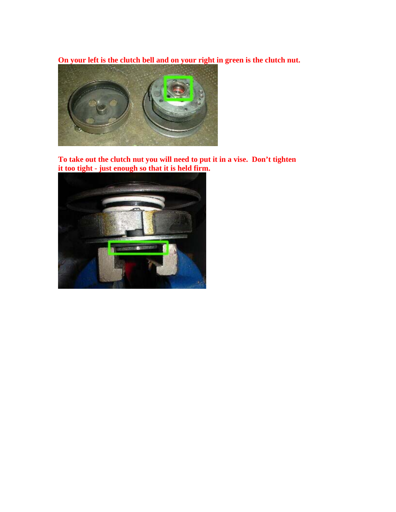**On your left is the clutch bell and on your right in green is the clutch nut.** 



**To take out the clutch nut you will need to put it in a vise. Don't tighten it too tight - just enough so that it is held firm.**

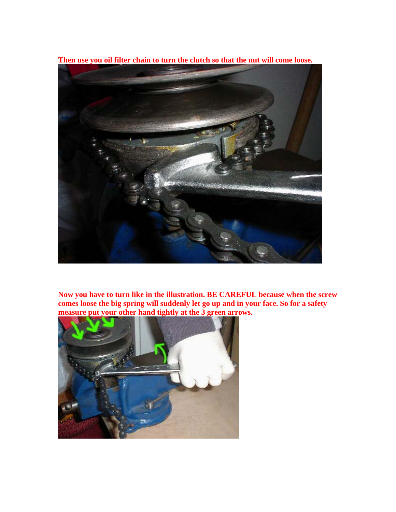**Then use you oil filter chain to turn the clutch so that the nut will come loose.**



**Now you have to turn like in the illustration. BE CAREFUL because when the screw comes loose the big spring will suddenly let go up and in your face. So for a safety measure put your other hand tightly at the 3 green arrows.** 

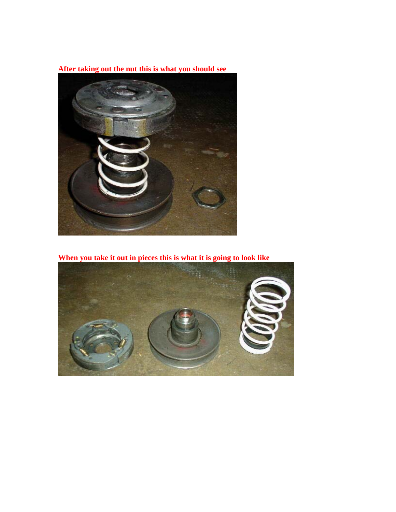**After taking out the nut this is what you should see**



**When you take it out in pieces this is what it is going to look like** 

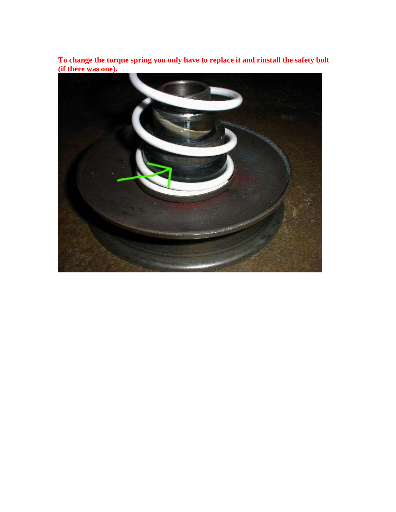**To change the torque spring you only have to replace it and rinstall the safety bolt (if there was one).**

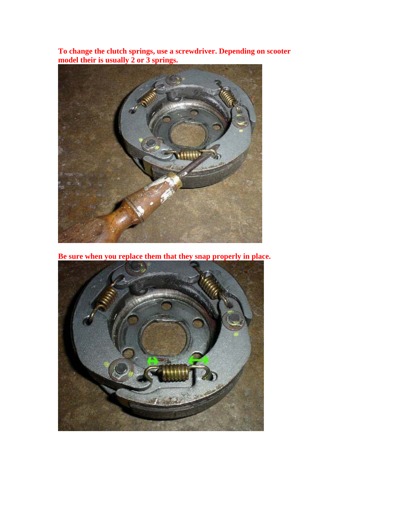**To change the clutch springs, use a screwdriver. Depending on scooter model their is usually 2 or 3 springs.**



**Be sure when you replace them that they snap properly in place.**

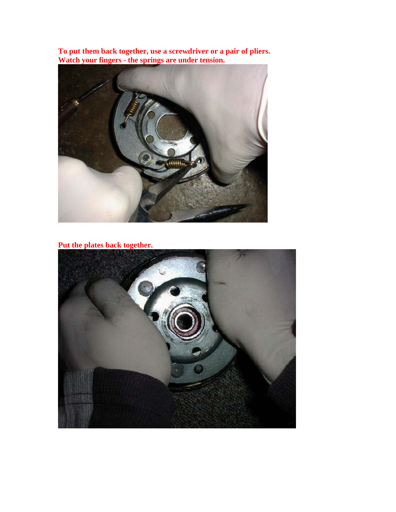**To put them back together, use a screwdriver or a pair of pliers. Watch your fingers - the springs are under tension.**



**Put the plates back together.**